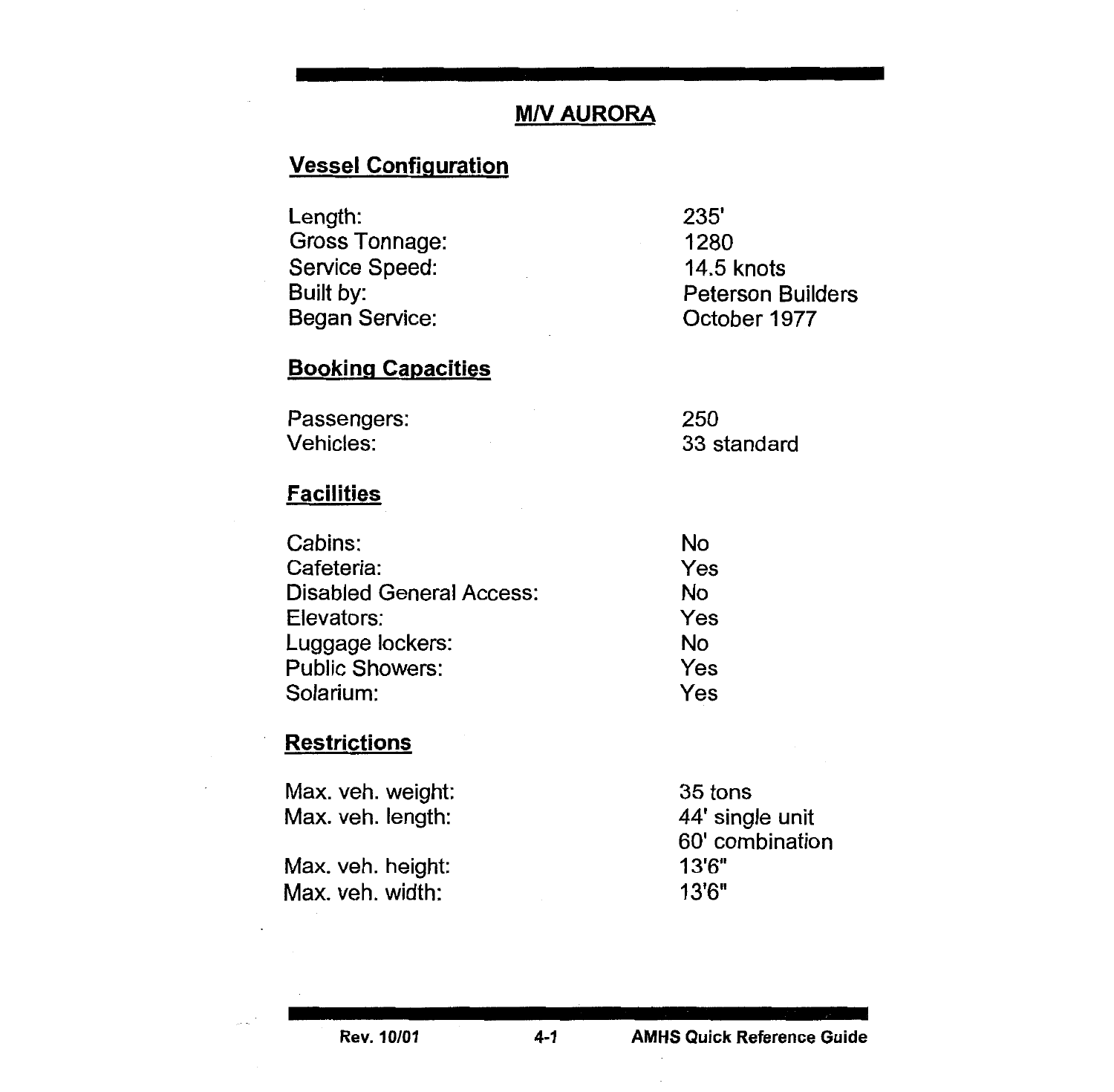# **M/V AURORA**

## Vessel Configuration

| 1280                     |
|--------------------------|
| <b>14.5 knots</b>        |
| <b>Peterson Builders</b> |
| October 1977             |
|                          |

## **Booking Capacities**

| Passengers: | 250         |
|-------------|-------------|
| Vehicles:   | 33 standard |

#### **Facilities**

| Cabins:                         | No  |
|---------------------------------|-----|
| Cafeteria:                      | Yes |
| <b>Disabled General Access:</b> | No  |
| Elevators:                      | Yes |
| Luggage lockers:                | No  |
| <b>Public Showers:</b>          | Yes |
| Solarium:                       | Yes |
|                                 |     |

#### **Restrictions**

| Max. veh. weight: | 35 tons         |
|-------------------|-----------------|
| Max. veh. length: | 44' single unit |
|                   | 60' combination |
| Max. veh. height: | 13'6"           |
| Max. veh. width:  | 13'6"           |
|                   |                 |